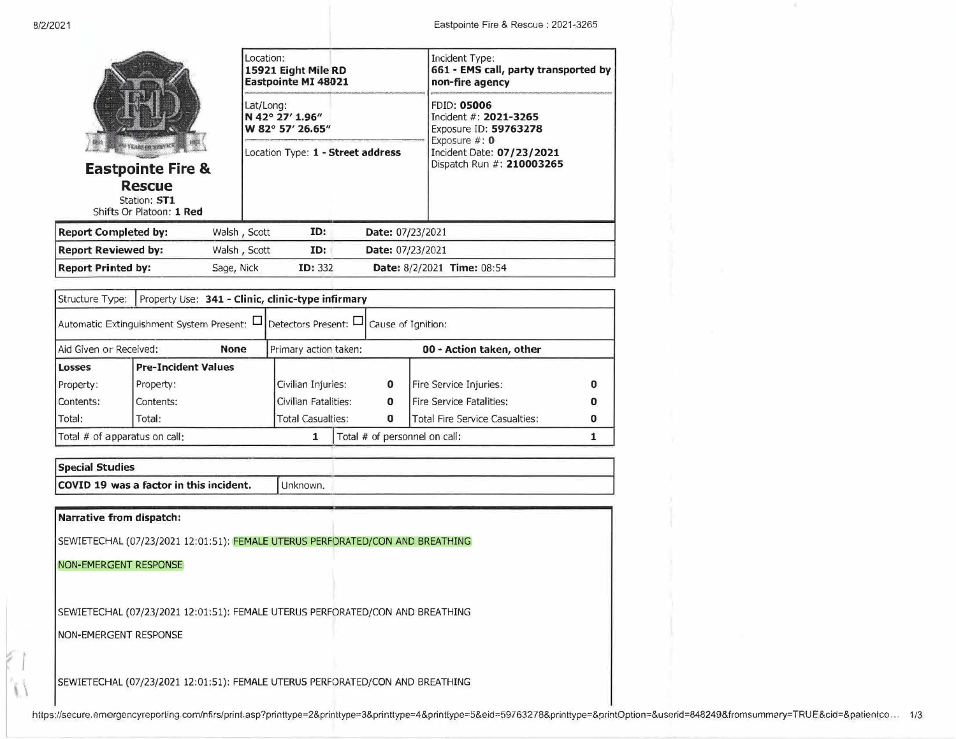

**Eastpointe Fire & Rescue**  Station: **ST1** Shifts Or Platoon: 1 **Red** 

**Report Completed by: Report Reviewed by: Report Printed by:** 

|            | Location:<br>15921 Eight Mile RD<br><b>Eastpointe MI 48021</b><br>Lat/Long:<br>N 42° 27' 1.96"<br>W 82° 57' 26.65" |                                   |                         | Incident Type:<br>661 - EMS call, party transported by<br>non-fire agency               |  |  |
|------------|--------------------------------------------------------------------------------------------------------------------|-----------------------------------|-------------------------|-----------------------------------------------------------------------------------------|--|--|
|            |                                                                                                                    |                                   |                         | <b>FDID: 05006</b><br>Incident #: 2021-3265<br>Exposure ID: 59763278<br>Exposure $#: 0$ |  |  |
|            |                                                                                                                    | Location Type: 1 - Street address |                         | Incident Date: 07/23/2021<br>Dispatch Run #: 210003265                                  |  |  |
|            | Walsh, Scott                                                                                                       | ID:                               | Date: 07/23/2021        |                                                                                         |  |  |
|            | Walsh, Scott                                                                                                       | ID:                               | <b>Date: 07/23/2021</b> |                                                                                         |  |  |
| Sage, Nick |                                                                                                                    | <b>ID: 332</b>                    |                         | <b>Date: 8/2/2021 Time: 08:54</b>                                                       |  |  |

| Structure Type:               |                                                                                              | Property Use: 341 - Clinic, clinic-type infirmary |                          |                               |  |                                       |   |
|-------------------------------|----------------------------------------------------------------------------------------------|---------------------------------------------------|--------------------------|-------------------------------|--|---------------------------------------|---|
|                               | Automatic Extinguishment System Present: $\Box$ Detectors Present: $\Box$ Cause of Ignition: |                                                   |                          |                               |  |                                       |   |
| Aid Given or Received:        |                                                                                              | <b>None</b>                                       | Primary action taken:    |                               |  | 00 - Action taken, other              |   |
| <b>Losses</b>                 | <b>Pre-Incident Values</b>                                                                   |                                                   |                          |                               |  |                                       |   |
| Property:                     | Property:                                                                                    |                                                   | Civilian Injuries:       | 0                             |  | Fire Service Injuries:                |   |
| Contents:                     | Contents:                                                                                    |                                                   | Civilian Fatalities:     | $\mathbf 0$                   |  | <b>Fire Service Fatalities:</b>       | 0 |
| Total:                        | Total:                                                                                       |                                                   | <b>Total Casualties:</b> | 0                             |  | <b>Total Fire Service Casualties:</b> | 0 |
| Total # of apparatus on call: |                                                                                              |                                                   |                          | Total # of personnel on call: |  |                                       |   |

| Special Studies                         |          |  |  |  |
|-----------------------------------------|----------|--|--|--|
| COVID 19 was a factor in this incident. | Unknown. |  |  |  |

**Narrative from dispatch:** 

SEWIETECHAL (07/23/2021 12:01:51): FEMALE UTERUS PERFORATED/CON AND BREATHING

## NON-EMERGENT RESPONSE

SEWIETECHAL (07/23/2021 12:01:51): FEMALE UTERUS PERFORATED/CON AND BREATHING

NON-EMERGENT RESPONSE

 $\overline{a}$ 

SEWIETECHAL (07/23/2021 12:01:51): FEMALE UTERUS PERFORATED/CON AND BREATHING